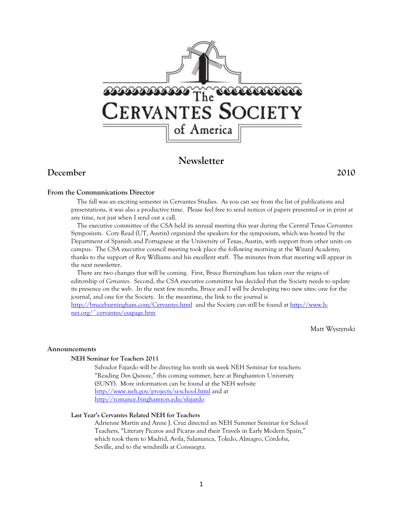

# **Newsletter**

## **December 2010**

## **From the Communications Director**

The fall was an exciting semester in Cervantes Studies. As you can see from the list of publications and presentations, it was also a productive time. Please feel free to send notices of papers presented or in print at any time, not just when I send out a call.

The executive committee of the CSA held its annual meeting this year during the Central Texas Cervantes Symposium. Cory Read (UT, Austin) organized the speakers for the symposium, which was hosted by the Department of Spanish and Portuguese at the University of Texas, Austin, with support from other units on campus. The CSA executive council meeting took place the following morning at the Wizard Academy, thanks to the support of Roy Williams and his excellent staff. The minutes from that meeting will appear in the next newsletter.

There are two changes that will be coming. First, Bruce Burningham has taken over the reigns of editorship of *Cervantes*. Second, the CSA executive committee has decided that the Society needs to update its presence on the web. In the next few months, Bruce and I will be developing two new sites: one for the journal, and one for the Society. In the meantime, the link to the journal is http://bruceburningham.com/Cervantes.html and the Society can still be found at http://www.hnet.org/~cervantes/csapage.htm

Matt Wyszynski

## **Announcements**

## **NEH Seminar for Teachers 2011**

Salvador Fajardo will be directing his tenth six week NEH Seminar for teachers: "Reading *Don Quixote*," this coming summer, here at Binghamton University (SUNY). More information can be found at the NEH website http://www.neh.gov/projects/si-school.html and at http://romance.binghamton.edu/sfajardo

## **Last Year's Cervantes Related NEH for Teachers**

Adrienne Martín and Anne J. Cruz directed an NEH Summer Seminar for School Teachers, "Literary Pícaros and Pícaras and their Travels in Early Modern Spain," which took them to Madrid, Avila, Salamanca, Toledo, Almagro, Córdoba, Seville, and to the windmills at Consuegra.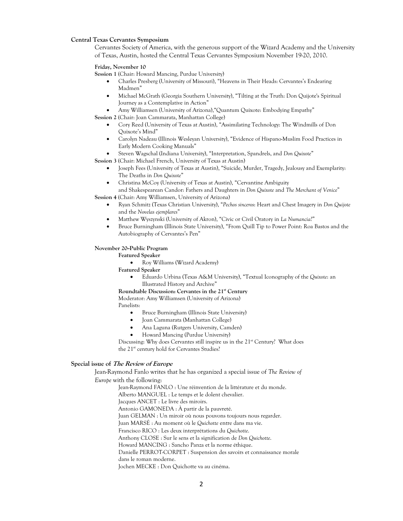## **Central Texas Cervantes Symposium**

Cervantes Society of America, with the generous support of the Wizard Academy and the University of Texas, Austin, hosted the Central Texas Cervantes Symposium November 19-20, 2010.

#### **Friday, November 10**

**Session 1** (Chair: Howard Mancing, Purdue University)

- Charles Presberg (University of Missouri), "Heavens in Their Heads: Cervantes's Endearing Madmen"
- Michael McGrath (Georgia Southern University), "Tilting at the Truth: Don Quijote's Spiritual Journey as a Contemplative in Action"
- Amy Williamsen (University of Arizona),"Quantum Quixote: Embodying Empathy"

**Session 2** (Chair: Joan Cammarata, Manhattan College)

- Cory Reed (University of Texas at Austin), "Assimilating Technology: The Windmills of Don Quixote's Mind"
- Carolyn Nadeau (Illinois Wesleyan University), "Evidence of Hispano-Muslim Food Practices in Early Modern Cooking Manuals"
- Steven Wagschal (Indiana University), "Interpretation, Spandrels, and *Don Quixote*"

**Session 3** (Chair: Michael French, University of Texas at Austin)

- Joseph Fees (University of Texas at Austin), "Suicide, Murder, Tragedy, Jealousy and Exemplarity: The Deaths in *Don Quixote*"
- Christina McCoy (University of Texas at Austin), "Cervantine Ambiguity and Shakespearean Candor: Fathers and Daughters in *Don Quixote* and *The Merchant of Venice*"

**Session 4** (Chair: Amy Williamsen, University of Arizona)

- Ryan Schmitz (Texas Christian University), "*Pechos sinceros*: Heart and Chest Imagery in *Don Quijote* and the *Novelas ejemplares*"
- Matthew Wyszynski (University of Akron), "Civic or Civil Oratory in *La Numancia*?"
- Bruce Burningham (Illinois State University), "From Quill Tip to Power Point: Roa Bastos and the Autobiography of Cervantes's Pen"

### **November 20--Public Program**

**Featured Speaker**

- Roy Williams (Wizard Academy)
- **Featured Speaker**
	- Eduardo Urbina (Texas A&M University), "Textual Iconography of the *Quixote*: an Illustrated History and Archive"
- Roundtable Discussion: Cervantes in the 21<sup>st</sup> Century

Moderator: Amy Williamsen (University of Arizona)

#### Panelists:

- Bruce Burningham (Illinois State University)
- Joan Cammarata (Manhattan College)
- Ana Laguna (Rutgers University, Camden)
- Howard Mancing (Purdue University)

Discussing: Why does Cervantes still inspire us in the 21<sup>st</sup> Century? What does the 21<sup>st</sup> century hold for Cervantes Studies?

### **Special issue of The Review of Europe**

Jean-Raymond Fanlo writes that he has organized a special issue of *The Review of Europe* with the following:

> Jean-Raymond FANLO : Une réinvention de la littérature et du monde. Alberto MANGUEL : Le temps et le dolent chevalier. Jacques ANCET : Le livre des miroirs. Antonio GAMONEDA : À partir de la pauvreté. Juan GELMAN : Un miroir où nous pouvons toujours nous regarder. Juan MARSÉ : Au moment où le *Quichotte* entre dans ma vie. Francisco RICO : Les deux interprétations du *Quichotte*. Anthony CLOSE : Sur le sens et la signification de *Don Quichotte*. Howard MANCING : Sancho Panza et la norme éthique. Danielle PERROT-CORPET : Suspension des savoirs et connaissance morale dans le roman moderne. Jochen MECKE : Don Quichotte va au cinéma.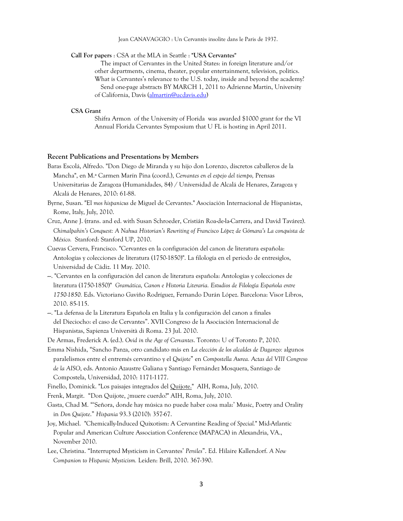Jean CANAVAGGIO : Un Cervantès insolite dans le Paris de 1937.

#### **Call For papers** : CSA at the MLA in Seattle : **"USA Cervantes"**

The impact of Cervantes in the United States: in foreign literature and/or other departments, cinema, theater, popular entertainment, television, politics. What is Cervantes's relevance to the U.S. today, inside and beyond the academy? Send one-page abstracts BY MARCH 1, 2011 to Adrienne Martin, University of California, Davis (almartin@ucdavis.edu)

#### **CSA Grant**

Shifra Armon of the University of Florida was awarded \$1000 grant for the VI Annual Florida Cervantes Symposium that U FL is hosting in April 2011.

## **Recent Publications and Presentations by Members**

Baras Escolá, Alfredo. "Don Diego de Miranda y su hijo don Lorenzo, discretos caballeros de la Mancha", en M.ª Carmen Marín Pina (coord.), *Cervantes en el espejo del tiempo,* Prensas Universitarias de Zaragoza (Humanidades, 84) / Universidad de Alcalá de Henares, Zaragoza y Alcalá de Henares, 2010: 61-88.

Byrne, Susan. "El *mos hispanicus* de Miguel de Cervantes." Asociación Internacional de Hispanistas, Rome, Italy, July, 2010.

Cruz, Anne J. (trans. and ed. with Susan Schroeder, Cristián Roa-de-la-Carrera, and David Tavárez). *Chimalpahin's Conquest: A Nahua Historian's Rewriting of Francisco López de Gómara's La conquista de México.* Stanford: Stanford UP, 2010.

Cuevas Cervera, Francisco. "Cervantes en la configuración del canon de literatura española: Antologías y colecciones de literatura (1750-1850)". La filología en el periodo de entresiglos, Universidad de Cádiz. 11 May. 2010.

- ---. "Cervantes en la configuración del canon de literatura española: Antologías y colecciones de literatura (1750-1850)" *Gramática, Canon e Historia Literaria. Estudios de Filología Española entre 1750-1850.* Eds. Victoriano Gaviño Rodríguez, Fernando Durán López. Barcelona: Visor Libros, 2010. 85-115.
- ---. "La defensa de la Literatura Española en Italia y la configuración del canon a finales del Dieciocho: el caso de Cervantes". XVII Congreso de la Asociación Internacional de Hispanistas, Sapienza Università di Roma. 23 Jul. 2010.

De Armas, Frederick A. (ed.). *Ovid in the Age of Cervantes*. Toronto: U of Toronto P, 2010.

Emma Nishida, "Sancho Panza, otro candidato más en *La elección de los alcaldes de Daganzo:* algunos paralelismos entre el entremés cervantino y el *Quijote*" en *Compostella Aurea. Actas del VIII Congreso de la AISO*, eds. Antonio Azaustre Galiana y Santiago Fernández Mosquera, Santiago de Compostela, Universidad, 2010: 1171-1177.

Finello, Dominick. "Los paisajes integrados del Quijote." AIH, Roma, July, 2010.

Frenk, Margit. "Don Quijote, ¿muere cuerdo?" AIH, Roma, July, 2010.

Gasta, Chad M. "'Señora, donde hay música no puede haber cosa mala:' Music, Poetry and Orality in *Don Quijote*." *Hispania* 93.3 (2010): 357-67.

- Joy, Michael. "Chemically-Induced Quixotism: A Cervantine Reading of *Special.*" Mid-Atlantic Popular and American Culture Association Conference (MAPACA) in Alexandria, VA., November 2010.
- Lee, Christina. "Interrupted Mysticism in Cervantes' *Persiles*". Ed. Hilaire Kallendorf. *A New Companion to Hispanic Mysticism.* Leiden: Brill, 2010. 367-390.